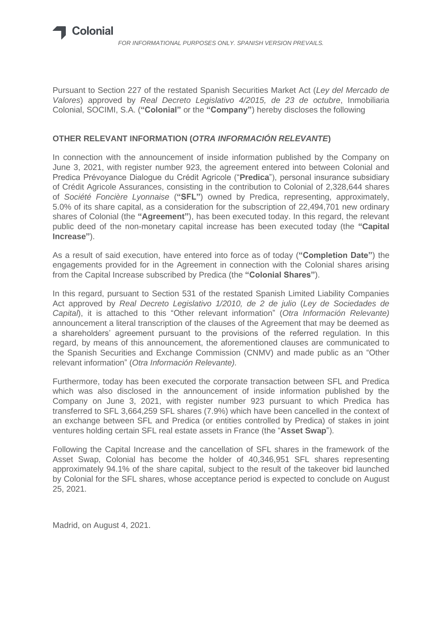

Pursuant to Section 227 of the restated Spanish Securities Market Act (*Ley del Mercado de Valores*) approved by *Real Decreto Legislativo 4/2015, de 23 de octubre*, Inmobiliaria Colonial, SOCIMI, S.A. (**"Colonial"** or the **"Company"**) hereby discloses the following

## **OTHER RELEVANT INFORMATION (***OTRA INFORMACIÓN RELEVANTE***)**

In connection with the announcement of inside information published by the Company on June 3, 2021, with register number 923, the agreement entered into between Colonial and Predica Prévoyance Dialogue du Crédit Agricole ("**Predica**"), personal insurance subsidiary of Crédit Agricole Assurances, consisting in the contribution to Colonial of 2,328,644 shares of *Société Foncière Lyonnaise* (**"SFL"**) owned by Predica, representing, approximately, 5.0% of its share capital, as a consideration for the subscription of 22,494,701 new ordinary shares of Colonial (the **"Agreement"**), has been executed today. In this regard, the relevant public deed of the non-monetary capital increase has been executed today (the **"Capital Increase"**).

As a result of said execution, have entered into force as of today (**"Completion Date"**) the engagements provided for in the Agreement in connection with the Colonial shares arising from the Capital Increase subscribed by Predica (the **"Colonial Shares"**).

In this regard, pursuant to Section 531 of the restated Spanish Limited Liability Companies Act approved by *Real Decreto Legislativo 1/2010, de 2 de julio* (*Ley de Sociedades de Capital*), it is attached to this "Other relevant information" (*Otra Información Relevante)* announcement a literal transcription of the clauses of the Agreement that may be deemed as a shareholders' agreement pursuant to the provisions of the referred regulation. In this regard, by means of this announcement, the aforementioned clauses are communicated to the Spanish Securities and Exchange Commission (CNMV) and made public as an "Other relevant information" (*Otra Información Relevante).*

Furthermore, today has been executed the corporate transaction between SFL and Predica which was also disclosed in the announcement of inside information published by the Company on June 3, 2021, with register number 923 pursuant to which Predica has transferred to SFL 3,664,259 SFL shares (7.9%) which have been cancelled in the context of an exchange between SFL and Predica (or entities controlled by Predica) of stakes in joint ventures holding certain SFL real estate assets in France (the "**Asset Swap**").

Following the Capital Increase and the cancellation of SFL shares in the framework of the Asset Swap, Colonial has become the holder of 40,346,951 SFL shares representing approximately 94.1% of the share capital, subject to the result of the takeover bid launched by Colonial for the SFL shares, whose acceptance period is expected to conclude on August 25, 2021.

Madrid, on August 4, 2021.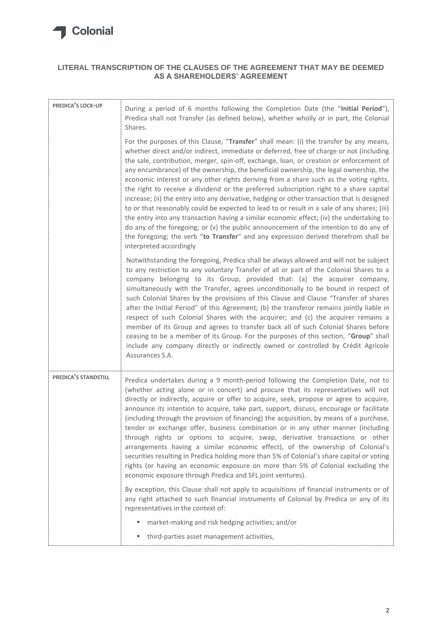

## **LITERAL TRANSCRIPTION OF THE CLAUSES OF THE AGREEMENT THAT MAY BE DEEMED AS A SHAREHOLDERS' AGREEMENT**

| PREDICA'S LOCK-UP    | During a period of 6 months following the Completion Date (the "Initial Period"),<br>Predica shall not Transfer (as defined below), whether wholly or in part, the Colonial<br>Shares.<br>For the purposes of this Clause, "Transfer" shall mean: (i) the transfer by any means,<br>whether direct and/or indirect, immediate or deferred, free of charge or not (including<br>the sale, contribution, merger, spin-off, exchange, loan, or creation or enforcement of<br>any encumbrance) of the ownership, the beneficial ownership, the legal ownership, the<br>economic interest or any other rights deriving from a share such as the voting rights,<br>the right to receive a dividend or the preferred subscription right to a share capital<br>increase; (ii) the entry into any derivative, hedging or other transaction that is designed<br>to or that reasonably could be expected to lead to or result in a sale of any shares; (iii)<br>the entry into any transaction having a similar economic effect; (iv) the undertaking to<br>do any of the foregoing; or $(v)$ the public announcement of the intention to do any of                                                 |
|----------------------|------------------------------------------------------------------------------------------------------------------------------------------------------------------------------------------------------------------------------------------------------------------------------------------------------------------------------------------------------------------------------------------------------------------------------------------------------------------------------------------------------------------------------------------------------------------------------------------------------------------------------------------------------------------------------------------------------------------------------------------------------------------------------------------------------------------------------------------------------------------------------------------------------------------------------------------------------------------------------------------------------------------------------------------------------------------------------------------------------------------------------------------------------------------------------------------|
|                      | the foregoing; the verb "to Transfer" and any expression derived therefrom shall be<br>interpreted accordingly                                                                                                                                                                                                                                                                                                                                                                                                                                                                                                                                                                                                                                                                                                                                                                                                                                                                                                                                                                                                                                                                           |
|                      | Notwithstanding the foregoing, Predica shall be always allowed and will not be subject<br>to any restriction to any voluntary Transfer of all or part of the Colonial Shares to a<br>company belonging to its Group, provided that: (a) the acquirer company,<br>simultaneously with the Transfer, agrees unconditionally to be bound in respect of<br>such Colonial Shares by the provisions of this Clause and Clause "Transfer of shares<br>after the Initial Period" of this Agreement; (b) the transferor remains jointly liable in<br>respect of such Colonial Shares with the acquirer; and (c) the acquirer remains a<br>member of its Group and agrees to transfer back all of such Colonial Shares before<br>ceasing to be a member of its Group. For the purposes of this section, "Group" shall<br>include any company directly or indirectly owned or controlled by Crédit Agricole<br>Assurances S.A.                                                                                                                                                                                                                                                                      |
| PREDICA'S STANDSTILL | Predica undertakes during a 9 month-period following the Completion Date, not to<br>(whether acting alone or in concert) and procure that its representatives will not<br>directly or indirectly, acquire or offer to acquire, seek, propose or agree to acquire,<br>announce its intention to acquire, take part, support, discuss, encourage or facilitate<br>(including through the provision of financing) the acquisition, by means of a purchase,<br>tender or exchange offer, business combination or in any other manner (including<br>through rights or options to acquire, swap, derivative transactions or other<br>arrangements having a similar economic effect), of the ownership of Colonial's<br>securities resulting in Predica holding more than 5% of Colonial's share capital or voting<br>rights (or having an economic exposure on more than 5% of Colonial excluding the<br>economic exposure through Predica and SFL joint ventures).<br>By exception, this Clause shall not apply to acquisitions of financial instruments or of<br>any right attached to such financial instruments of Colonial by Predica or any of its<br>representatives in the context of: |
|                      | market-making and risk hedging activities; and/or<br>ш                                                                                                                                                                                                                                                                                                                                                                                                                                                                                                                                                                                                                                                                                                                                                                                                                                                                                                                                                                                                                                                                                                                                   |
|                      | third-parties asset management activities,<br>ш                                                                                                                                                                                                                                                                                                                                                                                                                                                                                                                                                                                                                                                                                                                                                                                                                                                                                                                                                                                                                                                                                                                                          |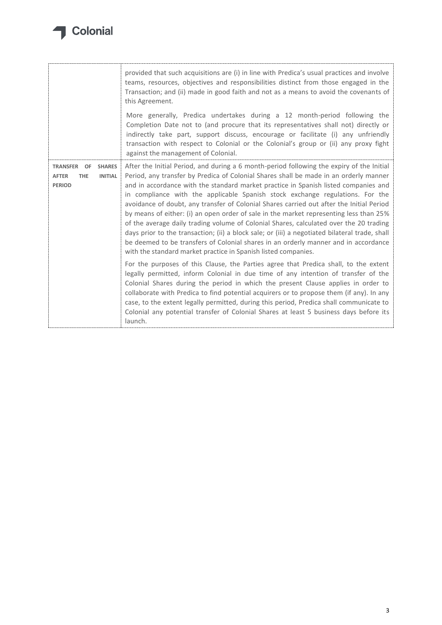

|                                                                                                         | provided that such acquisitions are (i) in line with Predica's usual practices and involve<br>teams, resources, objectives and responsibilities distinct from those engaged in the<br>Transaction; and (ii) made in good faith and not as a means to avoid the covenants of<br>this Agreement.<br>More generally, Predica undertakes during a 12 month-period following the<br>Completion Date not to (and procure that its representatives shall not) directly or<br>indirectly take part, support discuss, encourage or facilitate (i) any unfriendly<br>transaction with respect to Colonial or the Colonial's group or (ii) any proxy fight<br>against the management of Colonial.                                                                                                                                                                                                                |
|---------------------------------------------------------------------------------------------------------|-------------------------------------------------------------------------------------------------------------------------------------------------------------------------------------------------------------------------------------------------------------------------------------------------------------------------------------------------------------------------------------------------------------------------------------------------------------------------------------------------------------------------------------------------------------------------------------------------------------------------------------------------------------------------------------------------------------------------------------------------------------------------------------------------------------------------------------------------------------------------------------------------------|
| <b>TRANSFER</b><br><b>SHARES</b><br>OF<br><b>INITIAL</b><br><b>AFTER</b><br><b>THE</b><br><b>PERIOD</b> | After the Initial Period, and during a 6 month-period following the expiry of the Initial<br>Period, any transfer by Predica of Colonial Shares shall be made in an orderly manner<br>and in accordance with the standard market practice in Spanish listed companies and<br>in compliance with the applicable Spanish stock exchange regulations. For the<br>avoidance of doubt, any transfer of Colonial Shares carried out after the Initial Period<br>by means of either: (i) an open order of sale in the market representing less than 25%<br>of the average daily trading volume of Colonial Shares, calculated over the 20 trading<br>days prior to the transaction; (ii) a block sale; or (iii) a negotiated bilateral trade, shall<br>be deemed to be transfers of Colonial shares in an orderly manner and in accordance<br>with the standard market practice in Spanish listed companies. |
|                                                                                                         | For the purposes of this Clause, the Parties agree that Predica shall, to the extent<br>legally permitted, inform Colonial in due time of any intention of transfer of the<br>Colonial Shares during the period in which the present Clause applies in order to<br>collaborate with Predica to find potential acquirers or to propose them (if any). In any<br>case, to the extent legally permitted, during this period, Predica shall communicate to<br>Colonial any potential transfer of Colonial Shares at least 5 business days before its<br>launch.                                                                                                                                                                                                                                                                                                                                           |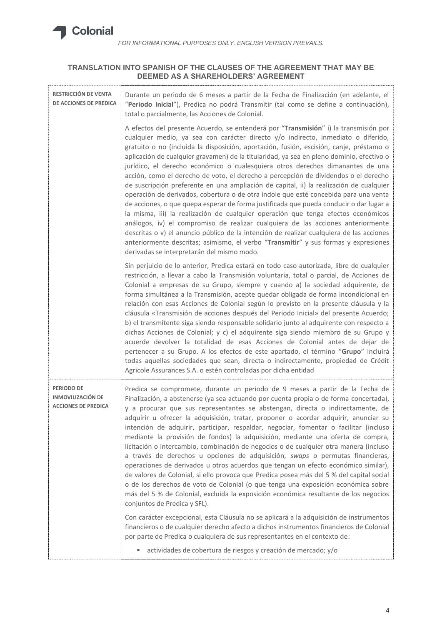

## **TRANSLATION INTO SPANISH OF THE CLAUSES OF THE AGREEMENT THAT MAY BE DEEMED AS A SHAREHOLDERS' AGREEMENT**

| RESTRICCIÓN DE VENTA<br>DE ACCIONES DE PREDICA                              | Durante un periodo de 6 meses a partir de la Fecha de Finalización (en adelante, el<br>"Periodo Inicial"), Predica no podrá Transmitir (tal como se define a continuación),<br>total o parcialmente, las Acciones de Colonial.                                                                                                                                                                                                                                                                                                                                                                                                                                                                                                                                                                                                                                                                                                                                                                                                                                                                                                                                                                                                   |
|-----------------------------------------------------------------------------|----------------------------------------------------------------------------------------------------------------------------------------------------------------------------------------------------------------------------------------------------------------------------------------------------------------------------------------------------------------------------------------------------------------------------------------------------------------------------------------------------------------------------------------------------------------------------------------------------------------------------------------------------------------------------------------------------------------------------------------------------------------------------------------------------------------------------------------------------------------------------------------------------------------------------------------------------------------------------------------------------------------------------------------------------------------------------------------------------------------------------------------------------------------------------------------------------------------------------------|
|                                                                             | A efectos del presente Acuerdo, se entenderá por "Transmisión" i) la transmisión por<br>cualquier medio, ya sea con carácter directo y/o indirecto, inmediato o diferido,<br>gratuito o no (incluida la disposición, aportación, fusión, escisión, canje, préstamo o<br>aplicación de cualquier gravamen) de la titularidad, ya sea en pleno dominio, efectivo o<br>jurídico, el derecho económico o cualesquiera otros derechos dimanantes de una<br>acción, como el derecho de voto, el derecho a percepción de dividendos o el derecho<br>de suscripción preferente en una ampliación de capital, ii) la realización de cualquier<br>operación de derivados, cobertura o de otra índole que esté concebida para una venta<br>de acciones, o que quepa esperar de forma justificada que pueda conducir o dar lugar a<br>la misma, iii) la realización de cualquier operación que tenga efectos económicos<br>análogos, iv) el compromiso de realizar cualquiera de las acciones anteriormente<br>descritas o v) el anuncio público de la intención de realizar cualquiera de las acciones<br>anteriormente descritas; asimismo, el verbo "Transmitir" y sus formas y expresiones<br>derivadas se interpretarán del mismo modo. |
|                                                                             | Sin perjuicio de lo anterior, Predica estará en todo caso autorizada, libre de cualquier<br>restricción, a llevar a cabo la Transmisión voluntaria, total o parcial, de Acciones de<br>Colonial a empresas de su Grupo, siempre y cuando a) la sociedad adquirente, de<br>forma simultánea a la Transmisión, acepte quedar obligada de forma incondicional en<br>relación con esas Acciones de Colonial según lo previsto en la presente cláusula y la<br>cláusula «Transmisión de acciones después del Periodo Inicial» del presente Acuerdo;<br>b) el transmitente siga siendo responsable solidario junto al adquirente con respecto a<br>dichas Acciones de Colonial; y c) el adquirente siga siendo miembro de su Grupo y<br>acuerde devolver la totalidad de esas Acciones de Colonial antes de dejar de<br>pertenecer a su Grupo. A los efectos de este apartado, el término "Grupo" incluirá<br>todas aquellas sociedades que sean, directa o indirectamente, propiedad de Crédit<br>Agricole Assurances S.A. o estén controladas por dicha entidad                                                                                                                                                                      |
| <b>PERIODO DE</b><br><b>INMOVILIZACIÓN DE</b><br><b>ACCIONES DE PREDICA</b> | Predica se compromete, durante un periodo de 9 meses a partir de la Fecha de<br>Finalización, a abstenerse (ya sea actuando por cuenta propia o de forma concertada),<br>y a procurar que sus representantes se abstengan, directa o indirectamente, de<br>adquirir u ofrecer la adquisición, tratar, proponer o acordar adquirir, anunciar su<br>intención de adquirir, participar, respaldar, negociar, fomentar o facilitar (incluso<br>mediante la provisión de fondos) la adquisición, mediante una oferta de compra,<br>licitación o intercambio, combinación de negocios o de cualquier otra manera (incluso<br>a través de derechos u opciones de adquisición, swaps o permutas financieras,<br>operaciones de derivados u otros acuerdos que tengan un efecto económico similar),<br>de valores de Colonial, si ello provoca que Predica posea más del 5 % del capital social<br>o de los derechos de voto de Colonial (o que tenga una exposición económica sobre<br>más del 5 % de Colonial, excluida la exposición económica resultante de los negocios<br>conjuntos de Predica y SFL).                                                                                                                              |
|                                                                             | Con carácter excepcional, esta Cláusula no se aplicará a la adquisición de instrumentos<br>financieros o de cualquier derecho afecto a dichos instrumentos financieros de Colonial<br>por parte de Predica o cualquiera de sus representantes en el contexto de:                                                                                                                                                                                                                                                                                                                                                                                                                                                                                                                                                                                                                                                                                                                                                                                                                                                                                                                                                                 |
|                                                                             | actividades de cobertura de riesgos y creación de mercado; y/o<br>ш                                                                                                                                                                                                                                                                                                                                                                                                                                                                                                                                                                                                                                                                                                                                                                                                                                                                                                                                                                                                                                                                                                                                                              |